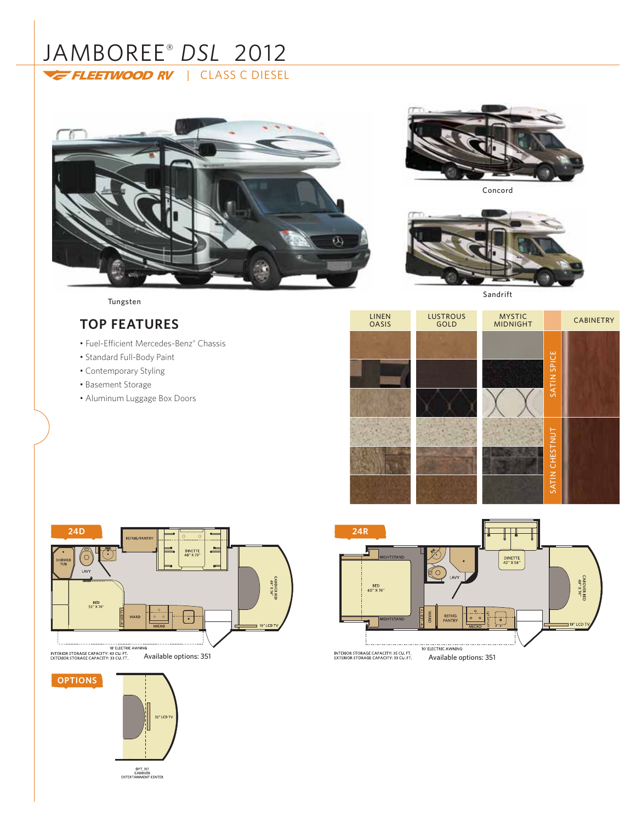# JAMBOREE® *DSL* 2012 FLEETWOOD RV | CLASS C DIESEL





Concord



Sandrift

# Tungsten

# **TOP FEATURES**

- Fuel-Efficient Mercedes-Benz® Chassis
- Standard Full-Body Paint
- Contemporary Styling
- Basement Storage
- Aluminum Luggage Box Doors